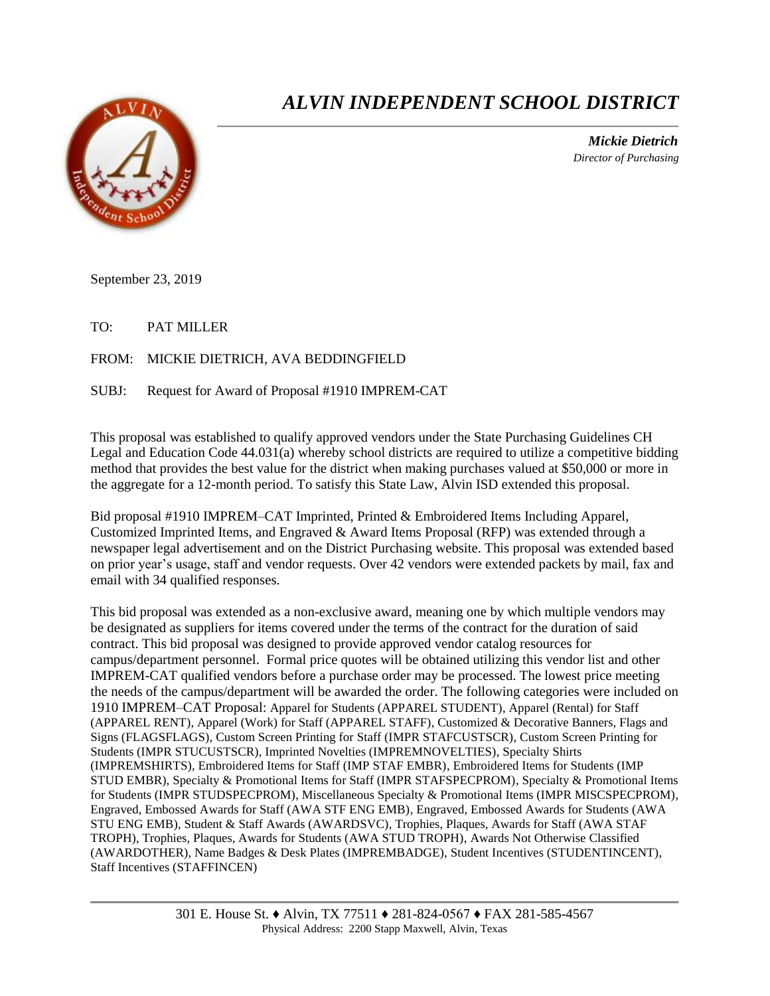

## *ALVIN INDEPENDENT SCHOOL DISTRICT*

 *Mickie Dietrich Director of Purchasing*

September 23, 2019

TO: PAT MILLER

FROM: MICKIE DIETRICH, AVA BEDDINGFIELD

SUBJ: Request for Award of Proposal #1910 IMPREM-CAT

This proposal was established to qualify approved vendors under the State Purchasing Guidelines CH Legal and Education Code 44.031(a) whereby school districts are required to utilize a competitive bidding method that provides the best value for the district when making purchases valued at \$50,000 or more in the aggregate for a 12-month period. To satisfy this State Law, Alvin ISD extended this proposal.

Bid proposal #1910 IMPREM–CAT Imprinted, Printed & Embroidered Items Including Apparel, Customized Imprinted Items, and Engraved & Award Items Proposal (RFP) was extended through a newspaper legal advertisement and on the District Purchasing website. This proposal was extended based on prior year's usage, staff and vendor requests. Over 42 vendors were extended packets by mail, fax and email with 34 qualified responses.

This bid proposal was extended as a non-exclusive award, meaning one by which multiple vendors may be designated as suppliers for items covered under the terms of the contract for the duration of said contract. This bid proposal was designed to provide approved vendor catalog resources for campus/department personnel. Formal price quotes will be obtained utilizing this vendor list and other IMPREM-CAT qualified vendors before a purchase order may be processed. The lowest price meeting the needs of the campus/department will be awarded the order. The following categories were included on 1910 IMPREM–CAT Proposal: Apparel for Students (APPAREL STUDENT), Apparel (Rental) for Staff (APPAREL RENT), Apparel (Work) for Staff (APPAREL STAFF), Customized & Decorative Banners, Flags and Signs (FLAGSFLAGS), Custom Screen Printing for Staff (IMPR STAFCUSTSCR), Custom Screen Printing for Students (IMPR STUCUSTSCR), Imprinted Novelties (IMPREMNOVELTIES), Specialty Shirts (IMPREMSHIRTS), Embroidered Items for Staff (IMP STAF EMBR), Embroidered Items for Students (IMP STUD EMBR), Specialty & Promotional Items for Staff (IMPR STAFSPECPROM), Specialty & Promotional Items for Students (IMPR STUDSPECPROM), Miscellaneous Specialty & Promotional Items (IMPR MISCSPECPROM), Engraved, Embossed Awards for Staff (AWA STF ENG EMB), Engraved, Embossed Awards for Students (AWA STU ENG EMB), Student & Staff Awards (AWARDSVC), Trophies, Plaques, Awards for Staff (AWA STAF TROPH), Trophies, Plaques, Awards for Students (AWA STUD TROPH), Awards Not Otherwise Classified (AWARDOTHER), Name Badges & Desk Plates (IMPREMBADGE), Student Incentives (STUDENTINCENT), Staff Incentives (STAFFINCEN)